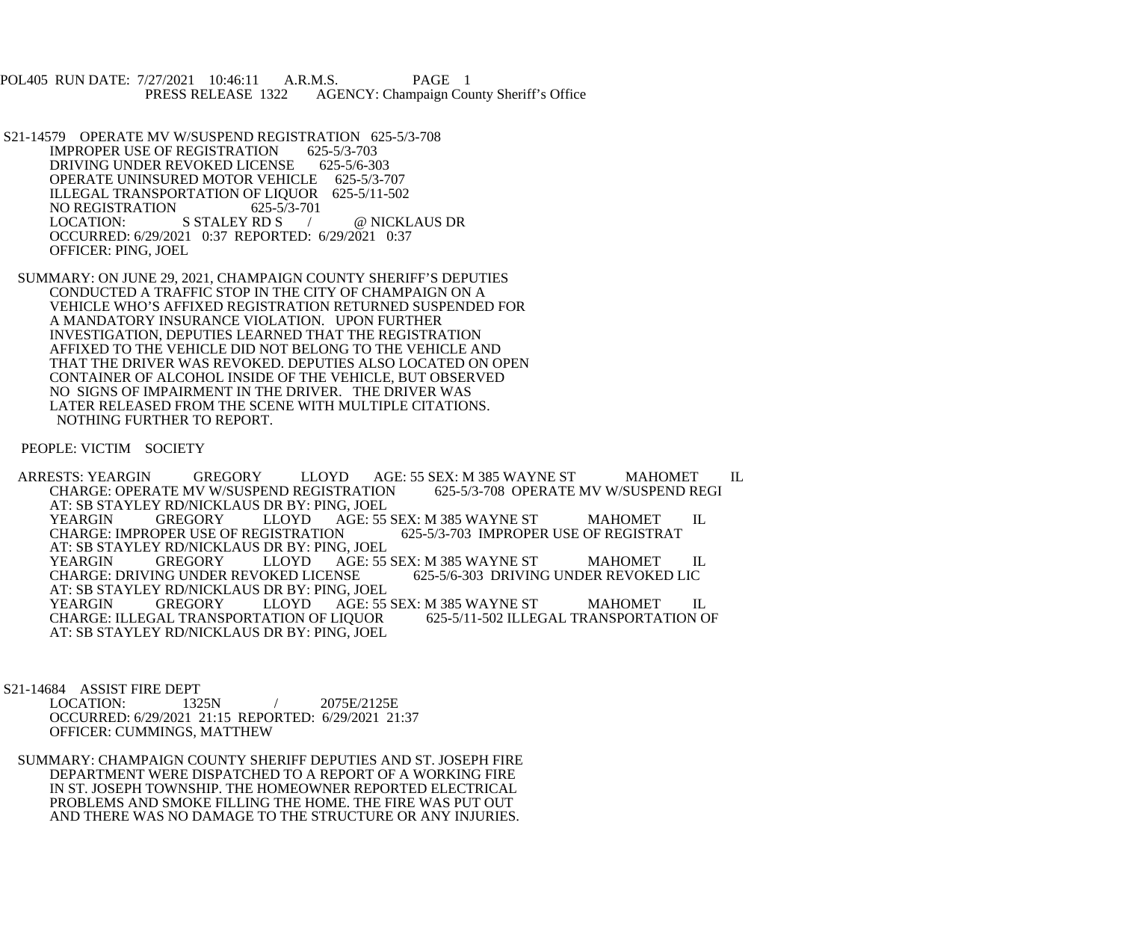POL405 RUN DATE: 7/27/2021 10:46:11 A.R.M.S. PAGE 1<br>PRESS RELEASE 1322 AGENCY: Champaign Cou AGENCY: Champaign County Sheriff's Office

- S21-14579 OPERATE MV W/SUSPEND REGISTRATION 625-5/3-708<br>IMPROPER USE OF REGISTRATION 625-5/3-703 IMPROPER USE OF REGISTRATION 625-5/3-703<br>DRIVING UNDER REVOKED LICENSE 625-5/6-303 DRIVING UNDER REVOKED LICENSE OPERATE UNINSURED MOTOR VEHICLE 625-5/3-707 ILLEGAL TRANSPORTATION OF LIQUOR 625-5/11-502<br>NO REGISTRATION 625-5/3-701 NO REGISTRATION 625-5/<br>LOCATION: S STALEY RD S / @ NICKLAUS DR OCCURRED: 6/29/2021 0:37 REPORTED: 6/29/2021 0:37 OFFICER: PING, JOEL
- SUMMARY: ON JUNE 29, 2021, CHAMPAIGN COUNTY SHERIFF'S DEPUTIES CONDUCTED A TRAFFIC STOP IN THE CITY OF CHAMPAIGN ON A VEHICLE WHO'S AFFIXED REGISTRATION RETURNED SUSPENDED FOR A MANDATORY INSURANCE VIOLATION. UPON FURTHER INVESTIGATION, DEPUTIES LEARNED THAT THE REGISTRATION AFFIXED TO THE VEHICLE DID NOT BELONG TO THE VEHICLE AND THAT THE DRIVER WAS REVOKED. DEPUTIES ALSO LOCATED ON OPEN CONTAINER OF ALCOHOL INSIDE OF THE VEHICLE, BUT OBSERVED NO SIGNS OF IMPAIRMENT IN THE DRIVER. THE DRIVER WAS LATER RELEASED FROM THE SCENE WITH MULTIPLE CITATIONS. NOTHING FURTHER TO REPORT.

PEOPLE: VICTIM SOCIETY

ARRESTS: YEARGIN GREGORY LLOYD AGE: 55 SEX: M 385 WAYNE ST MAHOMET IL CHARGE: OPERATE MV W/SUSPEND REGI CHARGE: OPERATE MV W/SUSPEND REGISTRATION AT: SB STAYLEY RD/NICKLAUS DR BY: PING, JOEL AGE: 55 SEX: M 385 WAYNE ST MAHOMET IL<br>ON 625-5/3-703 IMPROPER USE OF REGISTRAT CHARGE: IMPROPER USE OF REGISTRATION AT: SB STAYLEY RD/NICKLAUS DR BY: PING, JOEL<br>YEARGIN GREGORY LLOYD AGE: 55 YEARGIN GREGORY LLOYD AGE: 55 SEX: M 385 WAYNE ST MAHOMET IL<br>CHARGE: DRIVING UNDER REVOKED LICENSE 625-5/6-303 DRIVING UNDER REVOKED LIC CHARGE: DRIVING UNDER REVOKED LICENSE AT: SB STAYLEY RD/NICKLAUS DR BY: PING, JOEL AGE: 55 SEX: M 385 WAYNE ST MAHOMET IL<br>LIQUOR 625-5/11-502 ILLEGAL TRANSPORTATION OF CHARGE: ILLEGAL TRANSPORTATION OF LIQUOR AT: SB STAYLEY RD/NICKLAUS DR BY: PING, JOEL

S21-14684 ASSIST FIRE DEPT

 LOCATION: 1325N / 2075E/2125E OCCURRED: 6/29/2021 21:15 REPORTED: 6/29/2021 21:37 OFFICER: CUMMINGS, MATTHEW

 SUMMARY: CHAMPAIGN COUNTY SHERIFF DEPUTIES AND ST. JOSEPH FIRE DEPARTMENT WERE DISPATCHED TO A REPORT OF A WORKING FIRE IN ST. JOSEPH TOWNSHIP. THE HOMEOWNER REPORTED ELECTRICAL PROBLEMS AND SMOKE FILLING THE HOME. THE FIRE WAS PUT OUT AND THERE WAS NO DAMAGE TO THE STRUCTURE OR ANY INJURIES.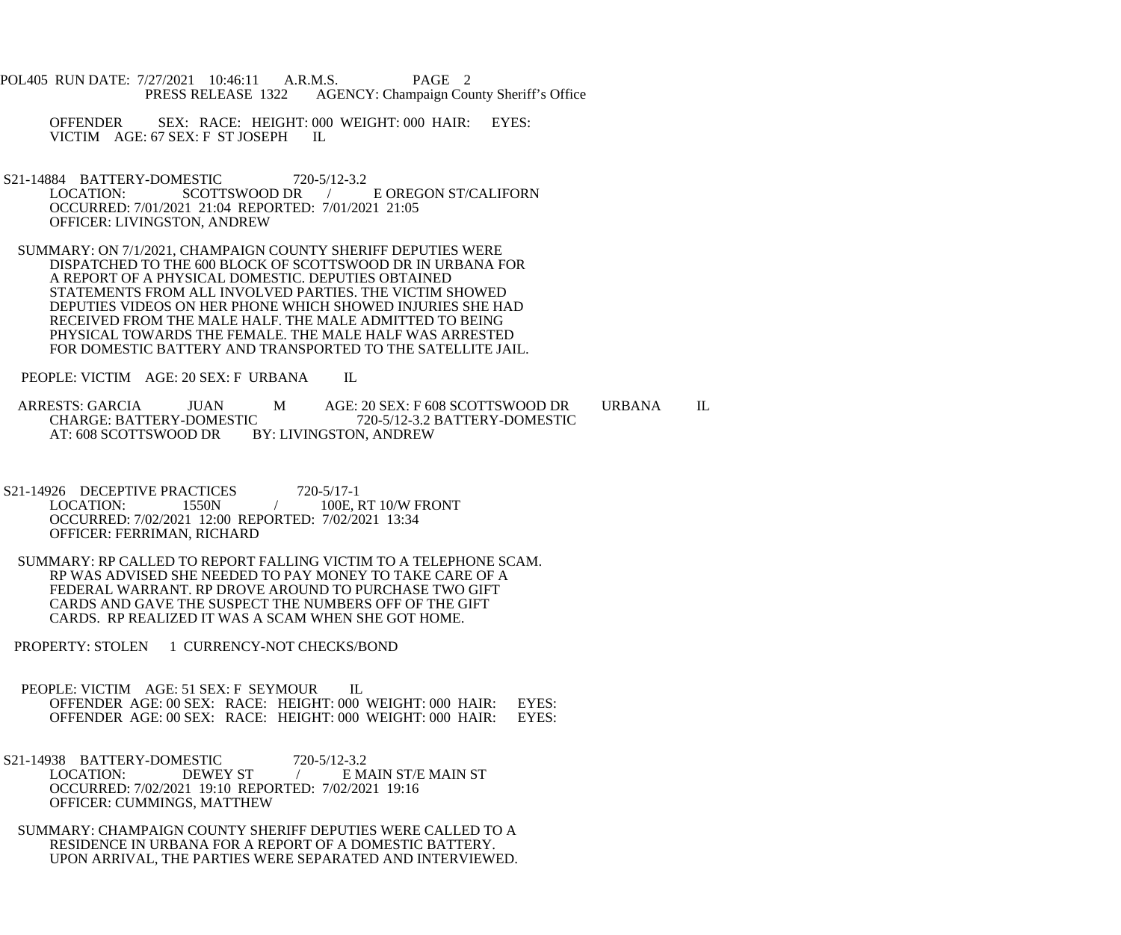- POL405 RUN DATE: 7/27/2021 10:46:11 A.R.M.S. PAGE 2<br>PRESS RELEASE 1322 AGENCY: Champaign Cou AGENCY: Champaign County Sheriff's Office
	- OFFENDER SEX: RACE: HEIGHT: 000 WEIGHT: 000 HAIR: EYES: VICTIM AGE: 67 SEX: F ST JOSEPH IL
- S21-14884 BATTERY-DOMESTIC 720-5/12-3.2<br>LOCATION: SCOTTSWOOD DR SCOTTSWOOD DR / E OREGON ST/CALIFORN OCCURRED: 7/01/2021 21:04 REPORTED: 7/01/2021 21:05 OFFICER: LIVINGSTON, ANDREW
- SUMMARY: ON 7/1/2021, CHAMPAIGN COUNTY SHERIFF DEPUTIES WERE DISPATCHED TO THE 600 BLOCK OF SCOTTSWOOD DR IN URBANA FOR A REPORT OF A PHYSICAL DOMESTIC. DEPUTIES OBTAINED STATEMENTS FROM ALL INVOLVED PARTIES. THE VICTIM SHOWED DEPUTIES VIDEOS ON HER PHONE WHICH SHOWED INJURIES SHE HAD RECEIVED FROM THE MALE HALF. THE MALE ADMITTED TO BEING PHYSICAL TOWARDS THE FEMALE. THE MALE HALF WAS ARRESTED FOR DOMESTIC BATTERY AND TRANSPORTED TO THE SATELLITE JAIL.

PEOPLE: VICTIM AGE: 20 SEX: F URBANA IL

ARRESTS: GARCIA JUAN M AGE: 20 SEX: F 608 SCOTTSWOOD DR URBANA IL<br>CHARGE: BATTERY-DOMESTIC 720-5/12-3.2 BATTERY-DOMESTIC CHARGE: BATTERY-DOMESTIC 720-5/12-3.2 BATTERY-DOMESTIC<br>AT: 608 SCOTTSWOOD DR BY: LIVINGSTON, ANDREW BY: LIVINGSTON, ANDREW

- S21-14926 DECEPTIVE PRACTICES 720-5/17-1<br>LOCATION: 1550N / 100E. / 100E, RT 10/W FRONT OCCURRED: 7/02/2021 12:00 REPORTED: 7/02/2021 13:34 OFFICER: FERRIMAN, RICHARD
- SUMMARY: RP CALLED TO REPORT FALLING VICTIM TO A TELEPHONE SCAM. RP WAS ADVISED SHE NEEDED TO PAY MONEY TO TAKE CARE OF A FEDERAL WARRANT. RP DROVE AROUND TO PURCHASE TWO GIFT CARDS AND GAVE THE SUSPECT THE NUMBERS OFF OF THE GIFT CARDS. RP REALIZED IT WAS A SCAM WHEN SHE GOT HOME.
- PROPERTY: STOLEN 1 CURRENCY-NOT CHECKS/BOND
- PEOPLE: VICTIM AGE: 51 SEX: F SEYMOUR IL OFFENDER AGE: 00 SEX: RACE: HEIGHT: 000 WEIGHT: 000 HAIR: EYES: OFFENDER AGE: 00 SEX: RACE: HEIGHT: 000 WEIGHT: 000 HAIR: EYES:
- S21-14938 BATTERY-DOMESTIC 720-5/12-3.2<br>LOCATION: DEWEY ST / EM.  $\angle$  E MAIN ST/E MAIN ST OCCURRED: 7/02/2021 19:10 REPORTED: 7/02/2021 19:16 OFFICER: CUMMINGS, MATTHEW
- SUMMARY: CHAMPAIGN COUNTY SHERIFF DEPUTIES WERE CALLED TO A RESIDENCE IN URBANA FOR A REPORT OF A DOMESTIC BATTERY. UPON ARRIVAL, THE PARTIES WERE SEPARATED AND INTERVIEWED.